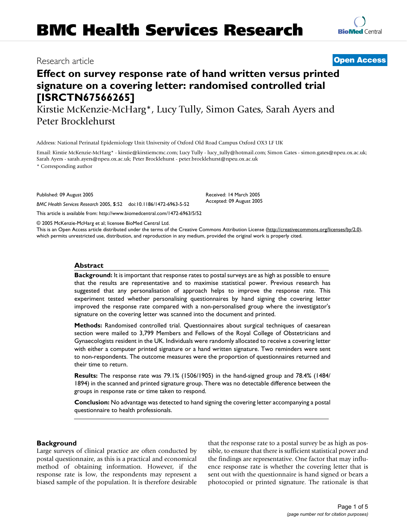## Research article **[Open Access](http://www.biomedcentral.com/info/about/charter/)**

# **Effect on survey response rate of hand written versus printed signature on a covering letter: randomised controlled trial [ISRCTN67566265]**

Kirstie McKenzie-McHarg\*, Lucy Tully, Simon Gates, Sarah Ayers and Peter Brocklehurst

Address: National Perinatal Epidemiology Unit University of Oxford Old Road Campus Oxford OX3 LF UK

Email: Kirstie McKenzie-McHarg\* - kirstie@kirstiemcmc.com; Lucy Tully - lucy\_tully@hotmail.com; Simon Gates - simon.gates@npeu.ox.ac.uk; Sarah Ayers - sarah.ayers@npeu.ox.ac.uk; Peter Brocklehurst - peter.brocklehurst@npeu.ox.ac.uk

> Received: 14 March 2005 Accepted: 09 August 2005

\* Corresponding author

Published: 09 August 2005

*BMC Health Services Research* 2005, **5**:52 doi:10.1186/1472-6963-5-52

[This article is available from: http://www.biomedcentral.com/1472-6963/5/52](http://www.biomedcentral.com/1472-6963/5/52)

© 2005 McKenzie-McHarg et al; licensee BioMed Central Ltd.

This is an Open Access article distributed under the terms of the Creative Commons Attribution License [\(http://creativecommons.org/licenses/by/2.0\)](http://creativecommons.org/licenses/by/2.0), which permits unrestricted use, distribution, and reproduction in any medium, provided the original work is properly cited.

#### **Abstract**

**Background:** It is important that response rates to postal surveys are as high as possible to ensure that the results are representative and to maximise statistical power. Previous research has suggested that any personalisation of approach helps to improve the response rate. This experiment tested whether personalising questionnaires by hand signing the covering letter improved the response rate compared with a non-personalised group where the investigator's signature on the covering letter was scanned into the document and printed.

**Methods:** Randomised controlled trial. Questionnaires about surgical techniques of caesarean section were mailed to 3,799 Members and Fellows of the Royal College of Obstetricians and Gynaecologists resident in the UK. Individuals were randomly allocated to receive a covering letter with either a computer printed signature or a hand written signature. Two reminders were sent to non-respondents. The outcome measures were the proportion of questionnaires returned and their time to return.

**Results:** The response rate was 79.1% (1506/1905) in the hand-signed group and 78.4% (1484/ 1894) in the scanned and printed signature group. There was no detectable difference between the groups in response rate or time taken to respond.

**Conclusion:** No advantage was detected to hand signing the covering letter accompanying a postal questionnaire to health professionals.

### **Background**

Large surveys of clinical practice are often conducted by postal questionnaire, as this is a practical and economical method of obtaining information. However, if the response rate is low, the respondents may represent a biased sample of the population. It is therefore desirable that the response rate to a postal survey be as high as possible, to ensure that there is sufficient statistical power and the findings are representative. One factor that may influence response rate is whether the covering letter that is sent out with the questionnaire is hand signed or bears a photocopied or printed signature. The rationale is that

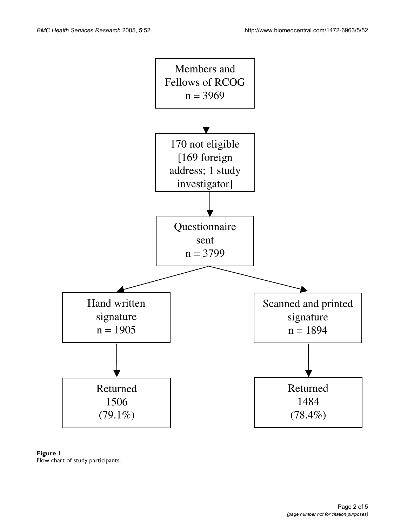

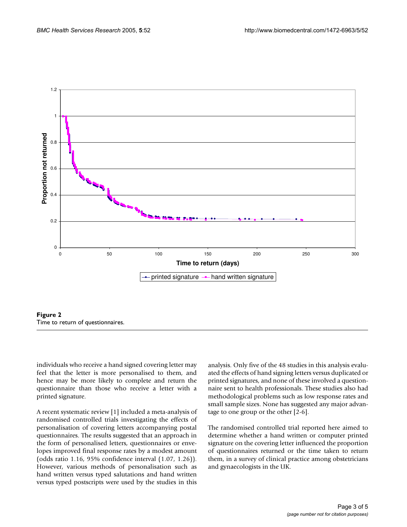



individuals who receive a hand signed covering letter may feel that the letter is more personalised to them, and hence may be more likely to complete and return the questionnaire than those who receive a letter with a printed signature.

A recent systematic review [1] included a meta-analysis of randomised controlled trials investigating the effects of personalisation of covering letters accompanying postal questionnaires. The results suggested that an approach in the form of personalised letters, questionnaires or envelopes improved final response rates by a modest amount (odds ratio 1.16, 95% confidence interval (1.07, 1.26)). However, various methods of personalisation such as hand written versus typed salutations and hand written versus typed postscripts were used by the studies in this analysis. Only five of the 48 studies in this analysis evaluated the effects of hand signing letters versus duplicated or printed signatures, and none of these involved a questionnaire sent to health professionals. These studies also had methodological problems such as low response rates and small sample sizes. None has suggested any major advantage to one group or the other [2-6].

The randomised controlled trial reported here aimed to determine whether a hand written or computer printed signature on the covering letter influenced the proportion of questionnaires returned or the time taken to return them, in a survey of clinical practice among obstetricians and gynaecologists in the UK.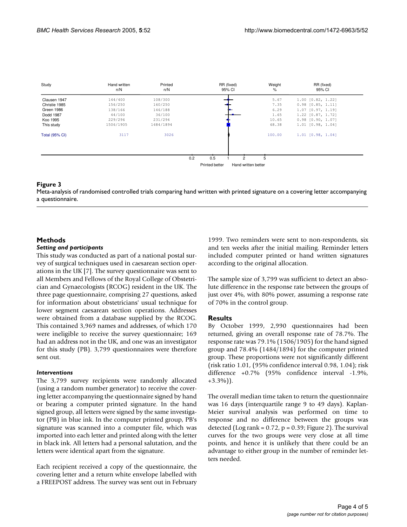| Study                                 | Hand written<br>n/N | Printed<br>n/N |     |     | RR (fixed)<br>95% CI | Weight<br>% | RR (fixed)<br>95% CI  |
|---------------------------------------|---------------------|----------------|-----|-----|----------------------|-------------|-----------------------|
| Clausen 1947                          | 144/400             | 108/300        |     |     |                      | 5.67        | $1.00$ $[0.82, 1.22]$ |
| Christie 1985                         | 156/250             | 160/250        |     |     |                      | 7.35        | $0.98$ $[0.85, 1.11]$ |
| Green 1986                            | 138/166             | 146/188        |     |     |                      | 6.29        | $1.07$ $[0.97, 1.19]$ |
| Dodd 1987                             | 44/100              | 36/100         |     |     |                      | 1.65        | $1.22$ $[0.87, 1.72]$ |
| Koo 1995                              | 229/296             | 231/294        |     |     |                      | 10.65       | $0.98$ $[0.90, 1.07]$ |
| This study                            | 1506/1905           | 1484/1894      |     |     |                      | 68.38       | $1.01$ $[0.98, 1.04]$ |
| <b>Total (95% CI)</b>                 | 3117                | 3026           |     |     |                      | 100.00      | $1.01$ $[0.98, 1.04]$ |
|                                       |                     |                |     |     |                      |             |                       |
|                                       |                     |                | 0.2 | 0.5 |                      | 5           |                       |
| Printed better<br>Hand written better |                     |                |     |     |                      |             |                       |

#### Meta-analysis of randomised cont a questionnaire **Figure 3** rolled trials comparing hand written with printed signature on a covering letter accompanying

Meta-analysis of randomised controlled trials comparing hand written with printed signature on a covering letter accompanying a questionnaire.

#### **Methods**

#### *Setting and participants*

This study was conducted as part of a national postal survey of surgical techniques used in caesarean section operations in the UK [7]. The survey questionnaire was sent to all Members and Fellows of the Royal College of Obstetrician and Gynaecologists (RCOG) resident in the UK. The three page questionnaire, comprising 27 questions, asked for information about obstetricians' usual technique for lower segment caesarean section operations. Addresses were obtained from a database supplied by the RCOG. This contained 3,969 names and addresses, of which 170 were ineligible to receive the survey questionnaire; 169 had an address not in the UK, and one was an investigator for this study (PB). 3,799 questionnaires were therefore sent out.

#### *Interventions*

The 3,799 survey recipients were randomly allocated (using a random number generator) to receive the covering letter accompanying the questionnaire signed by hand or bearing a computer printed signature. In the hand signed group, all letters were signed by the same investigator (PB) in blue ink. In the computer printed group, PB's signature was scanned into a computer file, which was imported into each letter and printed along with the letter in black ink. All letters had a personal salutation, and the letters were identical apart from the signature.

Each recipient received a copy of the questionnaire, the covering letter and a return white envelope labelled with a FREEPOST address. The survey was sent out in February

1999. Two reminders were sent to non-respondents, six and ten weeks after the initial mailing. Reminder letters included computer printed or hand written signatures according to the original allocation.

The sample size of 3,799 was sufficient to detect an absolute difference in the response rate between the groups of just over 4%, with 80% power, assuming a response rate of 70% in the control group.

#### **Results**

By October 1999, 2,990 questionnaires had been returned, giving an overall response rate of 78.7%. The response rate was 79.1% (1506/1905) for the hand signed group and 78.4% (1484/1894) for the computer printed group. These proportions were not significantly different (risk ratio 1.01, (95% confidence interval 0.98, 1.04); risk difference +0.7% (95% confidence interval -1.9%, +3.3%)).

The overall median time taken to return the questionnaire was 16 days (interquartile range 9 to 49 days). Kaplan-Meier survival analysis was performed on time to response and no difference between the groups was detected (Log rank =  $0.72$ , p =  $0.39$ ; Figure 2). The survival curves for the two groups were very close at all time points, and hence it is unlikely that there could be an advantage to either group in the number of reminder letters needed.